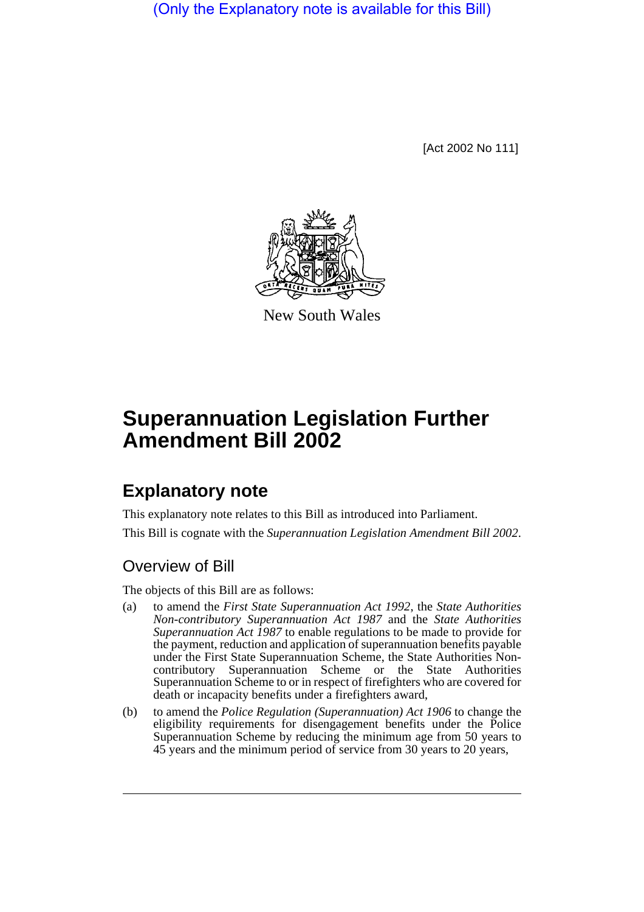(Only the Explanatory note is available for this Bill)

[Act 2002 No 111]



New South Wales

## **Superannuation Legislation Further Amendment Bill 2002**

## **Explanatory note**

This explanatory note relates to this Bill as introduced into Parliament. This Bill is cognate with the *Superannuation Legislation Amendment Bill 2002*.

## Overview of Bill

The objects of this Bill are as follows:

- (a) to amend the *First State Superannuation Act 1992*, the *State Authorities Non-contributory Superannuation Act 1987* and the *State Authorities Superannuation Act 1987* to enable regulations to be made to provide for the payment, reduction and application of superannuation benefits payable under the First State Superannuation Scheme, the State Authorities Noncontributory Superannuation Scheme or the State Authorities Superannuation Scheme to or in respect of firefighters who are covered for death or incapacity benefits under a firefighters award,
- (b) to amend the *Police Regulation (Superannuation) Act 1906* to change the eligibility requirements for disengagement benefits under the Police Superannuation Scheme by reducing the minimum age from 50 years to 45 years and the minimum period of service from 30 years to 20 years,